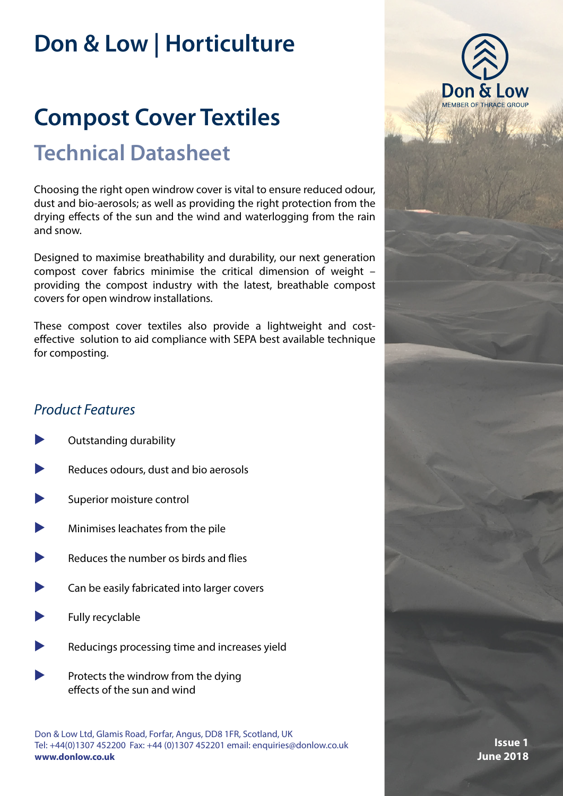## **[Don & Low | Horticulture](https://www.donlow.co.uk/gb/en/markets/horticulture/)**

# **Technical Datasheet [Compost Cover Textiles](https://www.donlow.co.uk/gb/en/applications/compost-cover-textiles/)**

Choosing the right open windrow cover is vital to ensure reduced odour, dust and bio-aerosols; as well as providing the right protection from the drying effects of the sun and the wind and waterlogging from the rain and snow.

Designed to maximise breathability and durability, our next generation compost cover fabrics minimise the critical dimension of weight – providing the compost industry with the latest, breathable compost covers for open windrow installations.

These compost cover textiles also provide a lightweight and costeffective solution to aid compliance with SEPA best available technique for composting.

### *Product Features*

- Outstanding durability
- Reduces odours, dust and bio aerosols
- Superior moisture control
- Minimises leachates from the pile
- Reduces the number os birds and flies
- Can be easily fabricated into larger covers
- Fully recyclable
- Reducings processing time and increases yield
- Protects the windrow from the dying effects of the sun and wind

Don & Low Ltd, Glamis Road, Forfar, Angus, DD8 1FR, Scotland, UK Tel: +44(0)1307 452200 Fax: +44 (0)1307 452201 email: [enquiries@donlow.co.uk](mailto:enquiries%40donlow.co.uk%0D?subject=) **[www.donlow.co.uk](https://www.donlow.co.uk/)**



**Issue 1 June 2018**